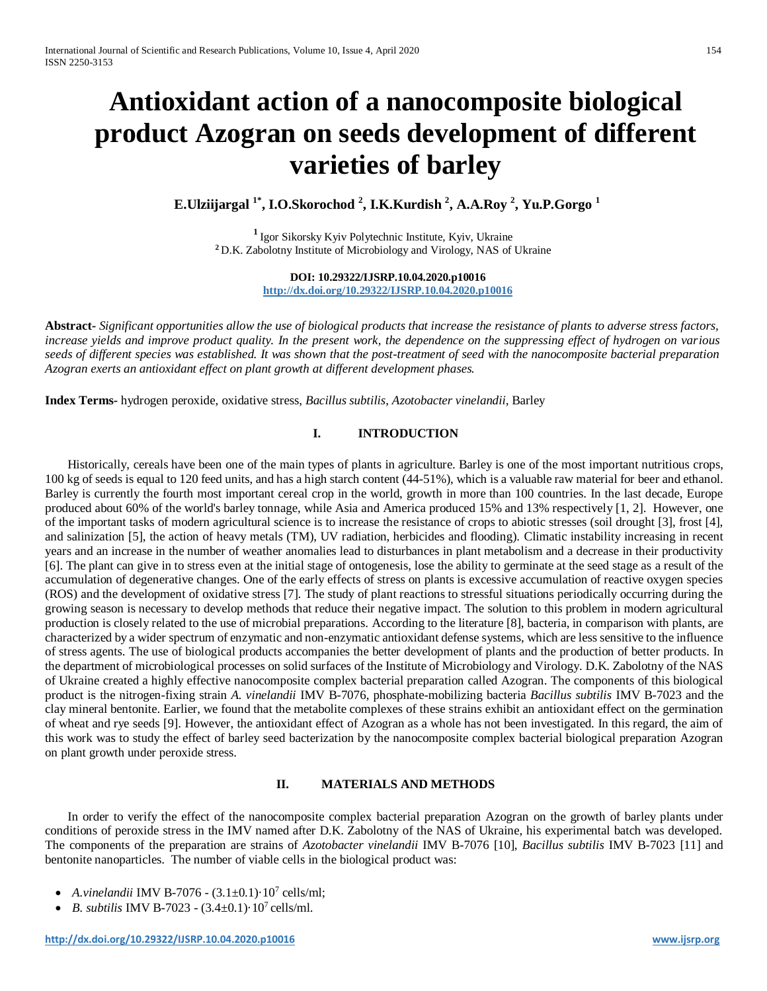# **Antioxidant action of a nanocomposite biological product Azogran on seeds development of different varieties of barley**

**E.Ulziijargal 1\* , I.O.Skorochod <sup>2</sup> , I.K.Kurdish <sup>2</sup> , A.A.Roy <sup>2</sup> , Yu.P.Gorgo <sup>1</sup>**

**<sup>1</sup>**Igor Sikorsky Kyiv Polytechnic Institute, Kyiv, Ukraine **<sup>2</sup>**D.K. Zabolotny Institute of Microbiology and Virology, NAS of Ukraine

> **DOI: 10.29322/IJSRP.10.04.2020.p10016 http://dx.doi.org/10.29322/IJSRP.10.04.2020.p10016**

**Abstract***- Significant opportunities allow the use of biological products that increase the resistance of plants to adverse stress factors, increase yields and improve product quality. In the present work, the dependence on the suppressing effect of hydrogen on various seeds of different species was established. It was shown that the post-treatment of seed with the nanocomposite bacterial preparation Azogran exerts an antioxidant effect on plant growth at different development phases.*

**Index Terms-** hydrogen peroxide, oxidative stress, *Bacillus subtilis*, *Azotobacter vinelandii,* Barley

## **I. INTRODUCTION**

Historically, cereals have been one of the main types of plants in agriculture. Barley is one of the most important nutritious crops, 100 kg of seeds is equal to 120 feed units, and has a high starch content (44-51%), which is a valuable raw material for beer and ethanol. Barley is currently the fourth most important cereal crop in the world, growth in more than 100 countries. In the last decade, Europe produced about 60% of the world's barley tonnage, while Asia and America produced 15% and 13% respectively [1, 2]. However, one of the important tasks of modern agricultural science is to increase the resistance of crops to abiotic stresses (soil drought [3], frost [4], and salinization [5], the action of heavy metals (TM), UV radiation, herbicides and flooding). Climatic instability increasing in recent years and an increase in the number of weather anomalies lead to disturbances in plant metabolism and a decrease in their productivity [6]. The plant can give in to stress even at the initial stage of ontogenesis, lose the ability to germinate at the seed stage as a result of the accumulation of degenerative changes. One of the early effects of stress on plants is excessive accumulation of reactive oxygen species (ROS) and the development of oxidative stress [7]. The study of plant reactions to stressful situations periodically occurring during the growing season is necessary to develop methods that reduce their negative impact. The solution to this problem in modern agricultural production is closely related to the use of microbial preparations. According to the literature [8], bacteria, in comparison with plants, are characterized by a wider spectrum of enzymatic and non-enzymatic antioxidant defense systems, which are less sensitive to the influence of stress agents. The use of biological products accompanies the better development of plants and the production of better products. In the department of microbiological processes on solid surfaces of the Institute of Microbiology and Virology. D.K. Zabolotny of the NAS of Ukraine created a highly effective nanocomposite complex bacterial preparation called Azogran. The components of this biological product is the nitrogen-fixing strain *A. vinelandii* IMV B-7076, phosphate-mobilizing bacteria *Bacillus subtilis* IMV B-7023 and the clay mineral bentonite. Earlier, we found that the metabolite complexes of these strains exhibit an antioxidant effect on the germination of wheat and rye seeds [9]. However, the antioxidant effect of Azogran as a whole has not been investigated. In this regard, the aim of this work was to study the effect of barley seed bacterization by the nanocomposite complex bacterial biological preparation Azogran on plant growth under peroxide stress.

#### **II. MATERIALS AND METHODS**

In order to verify the effect of the nanocomposite complex bacterial preparation Azogran on the growth of barley plants under conditions of peroxide stress in the IMV named after D.K. Zabolotny of the NAS of Ukraine, his experimental batch was developed. The components of the preparation are strains of *Azotobacter vinelandii* IMV B-7076 [10], *Bacillus subtilis* IMV B-7023 [11] and bentonite nanoparticles. The number of viable cells in the biological product was:

- A.vinelandii IMV B-7076  $(3.1 \pm 0.1) \cdot 10^7$  cells/ml;
- *B. subtilis* IMV B-7023  $(3.4 \pm 0.1) \cdot 10^7$  cells/ml.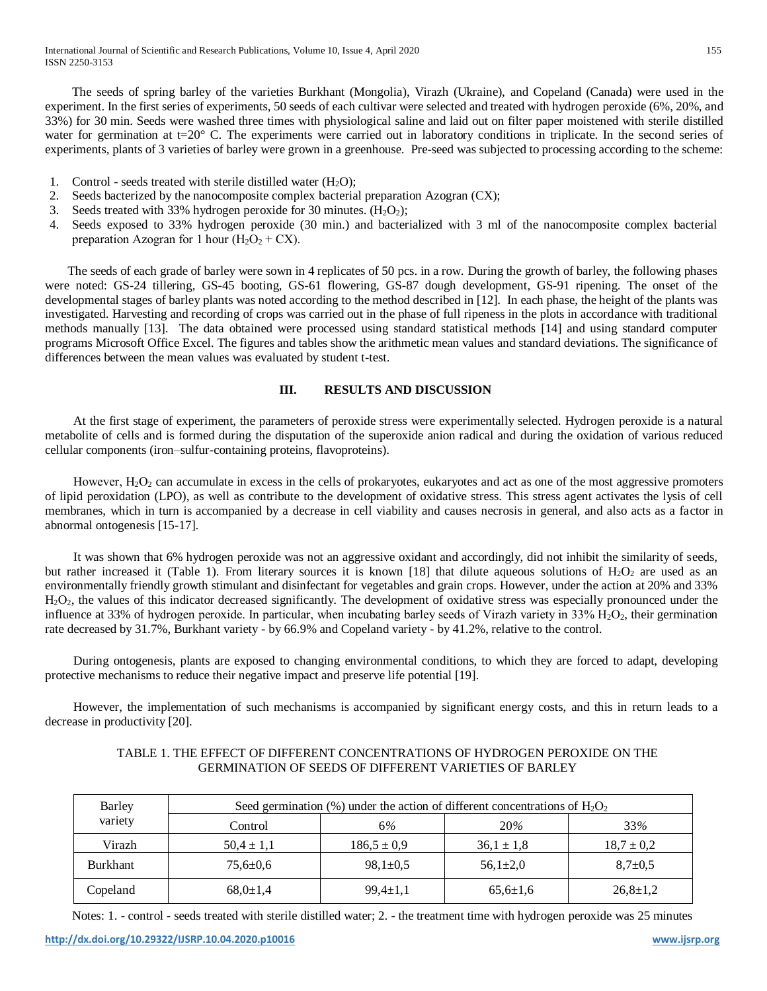The seeds of spring barley of the varieties Burkhant (Mongolia), Virazh (Ukraine), and Copeland (Canada) were used in the experiment. In the first series of experiments, 50 seeds of each cultivar were selected and treated with hydrogen peroxide (6%, 20%, and 33%) for 30 min. Seeds were washed three times with physiological saline and laid out on filter paper moistened with sterile distilled water for germination at  $t=20^\circ$  C. The experiments were carried out in laboratory conditions in triplicate. In the second series of experiments, plants of 3 varieties of barley were grown in a greenhouse. Pre-seed was subjected to processing according to the scheme:

- 1. Control seeds treated with sterile distilled water  $(H_2O)$ :
- 2. Seeds bacterized by the nanocomposite complex bacterial preparation Azogran (CX);
- 3. Seeds treated with 33% hydrogen peroxide for 30 minutes.  $(H_2O_2)$ ;
- 4. Seeds exposed to 33% hydrogen peroxide (30 min.) and bacterialized with 3 ml of the nanocomposite complex bacterial preparation Azogran for 1 hour  $(H_2O_2 + CX)$ .

The seeds of each grade of barley were sown in 4 replicates of 50 pcs. in a row. During the growth of barley, the following phases were noted: GS-24 tillering, GS-45 booting, GS-61 flowering, GS-87 dough development, GS-91 ripening. The onset of the developmental stages of barley plants was noted according to the method described in [12]. In each phase, the height of the plants was investigated. Harvesting and recording of crops was carried out in the phase of full ripeness in the plots in accordance with traditional methods manually [13]. The data obtained were processed using standard statistical methods [14] and using standard computer programs Microsoft Office Excel. The figures and tables show the arithmetic mean values and standard deviations. The significance of differences between the mean values was evaluated by student t-test.

### **III. RESULTS AND DISCUSSION**

At the first stage of experiment, the parameters of peroxide stress were experimentally selected. Hydrogen peroxide is a natural metabolite of cells and is formed during the disputation of the superoxide anion radical and during the oxidation of various reduced cellular components (iron–sulfur-containing proteins, flavoproteins).

However, H<sub>2</sub>O<sub>2</sub> can accumulate in excess in the cells of prokaryotes, eukaryotes and act as one of the most aggressive promoters of lipid peroxidation (LPO), as well as contribute to the development of oxidative stress. This stress agent activates the lysis of cell membranes, which in turn is accompanied by a decrease in cell viability and causes necrosis in general, and also acts as a factor in abnormal ontogenesis [15-17].

It was shown that 6% hydrogen peroxide was not an aggressive oxidant and accordingly, did not inhibit the similarity of seeds, but rather increased it (Table 1). From literary sources it is known [18] that dilute aqueous solutions of  $H_2O_2$  are used as an environmentally friendly growth stimulant and disinfectant for vegetables and grain crops. However, under the action at 20% and 33% Н2О2, the values of this indicator decreased significantly. The development of oxidative stress was especially pronounced under the influence at 33% of hydrogen peroxide. In particular, when incubating barley seeds of Virazh variety in  $33\%$  H<sub>2</sub>O<sub>2</sub>, their germination rate decreased by 31.7%, Burkhant variety - by 66.9% and Copeland variety - by 41.2%, relative to the control.

During ontogenesis, plants are exposed to changing environmental conditions, to which they are forced to adapt, developing protective mechanisms to reduce their negative impact and preserve life potential [19].

However, the implementation of such mechanisms is accompanied by significant energy costs, and this in return leads to a decrease in productivity [20].

## TABLE 1. THE EFFECT OF DIFFERENT CONCENTRATIONS OF HYDROGEN PEROXIDE ON THE GERMINATION OF SEEDS OF DIFFERENT VARIETIES OF BARLEY

| Barley<br>variety | Seed germination $(\%)$ under the action of different concentrations of $H_2O_2$ |                 |                |                |
|-------------------|----------------------------------------------------------------------------------|-----------------|----------------|----------------|
|                   | Control                                                                          | 6%              | <b>20%</b>     | 33%            |
| Virazh            | $50,4 \pm 1,1$                                                                   | $186.5 \pm 0.9$ | $36.1 \pm 1.8$ | $18.7 \pm 0.2$ |
| <b>Burkhant</b>   | $75,6 \pm 0.6$                                                                   | $98,1 \pm 0.5$  | $56,1{\pm}2,0$ | $8,7+0,5$      |
| Copeland          | $68.0 \pm 1.4$                                                                   | $99,4 \pm 1,1$  | $65,6{\pm}1,6$ | $26,8 \pm 1,2$ |

Notes: 1. - control - seeds treated with sterile distilled water; 2. - the treatment time with hydrogen peroxide was 25 minutes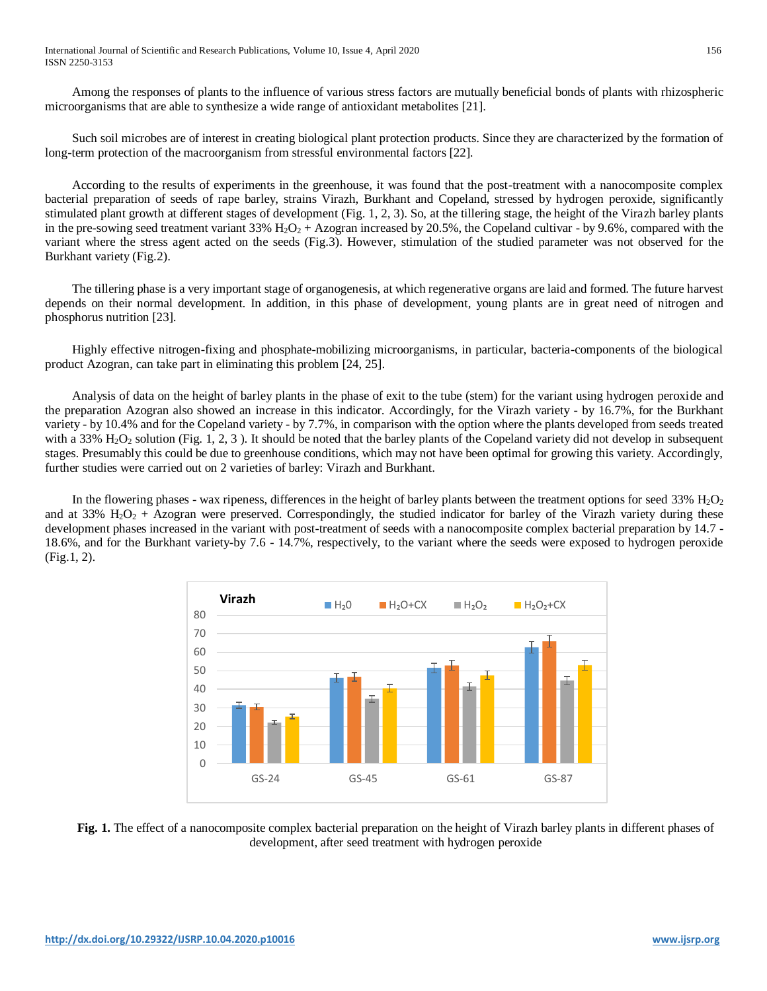International Journal of Scientific and Research Publications, Volume 10, Issue 4, April 2020 156 ISSN 2250-3153

Among the responses of plants to the influence of various stress factors are mutually beneficial bonds of plants with rhizospheric microorganisms that are able to synthesize a wide range of antioxidant metabolites [21].

Such soil microbes are of interest in creating biological plant protection products. Since they are characterized by the formation of long-term protection of the macroorganism from stressful environmental factors [22].

According to the results of experiments in the greenhouse, it was found that the post-treatment with a nanocomposite complex bacterial preparation of seeds of rape barley, strains Virazh, Burkhant and Copeland, stressed by hydrogen peroxide, significantly stimulated plant growth at different stages of development (Fig. 1, 2, 3). So, at the tillering stage, the height of the Virazh barley plants in the pre-sowing seed treatment variant 33%  $H_2O_2$  + Azogran increased by 20.5%, the Copeland cultivar - by 9.6%, compared with the variant where the stress agent acted on the seeds (Fig.3). However, stimulation of the studied parameter was not observed for the Burkhant variety (Fig.2).

The tillering phase is a very important stage of organogenesis, at which regenerative organs are laid and formed. The future harvest depends on their normal development. In addition, in this phase of development, young plants are in great need of nitrogen and phosphorus nutrition [23].

Highly effective nitrogen-fixing and phosphate-mobilizing microorganisms, in particular, bacteria-components of the biological product Azogran, can take part in eliminating this problem [24, 25].

Analysis of data on the height of barley plants in the phase of exit to the tube (stem) for the variant using hydrogen peroxide and the preparation Azogran also showed an increase in this indicator. Accordingly, for the Virazh variety - by 16.7%, for the Burkhant variety - by 10.4% and for the Copeland variety - by 7.7%, in comparison with the option where the plants developed from seeds treated with a 33%  $H_2O_2$  solution (Fig. 1, 2, 3). It should be noted that the barley plants of the Copeland variety did not develop in subsequent stages. Presumably this could be due to greenhouse conditions, which may not have been optimal for growing this variety. Accordingly, further studies were carried out on 2 varieties of barley: Virazh and Burkhant.

In the flowering phases - wax ripeness, differences in the height of barley plants between the treatment options for seed  $33\%$   $H_2O_2$ and at 33%  $H_2O_2$  + Azogran were preserved. Correspondingly, the studied indicator for barley of the Virazh variety during these development phases increased in the variant with post-treatment of seeds with a nanocomposite complex bacterial preparation by 14.7 - 18.6%, and for the Burkhant variety-by 7.6 - 14.7%, respectively, to the variant where the seeds were exposed to hydrogen peroxide (Fig.1, 2).



**Fig. 1.** The effect of a nanocomposite complex bacterial preparation on the height of Virazh barley plants in different phases of development, after seed treatment with hydrogen peroxide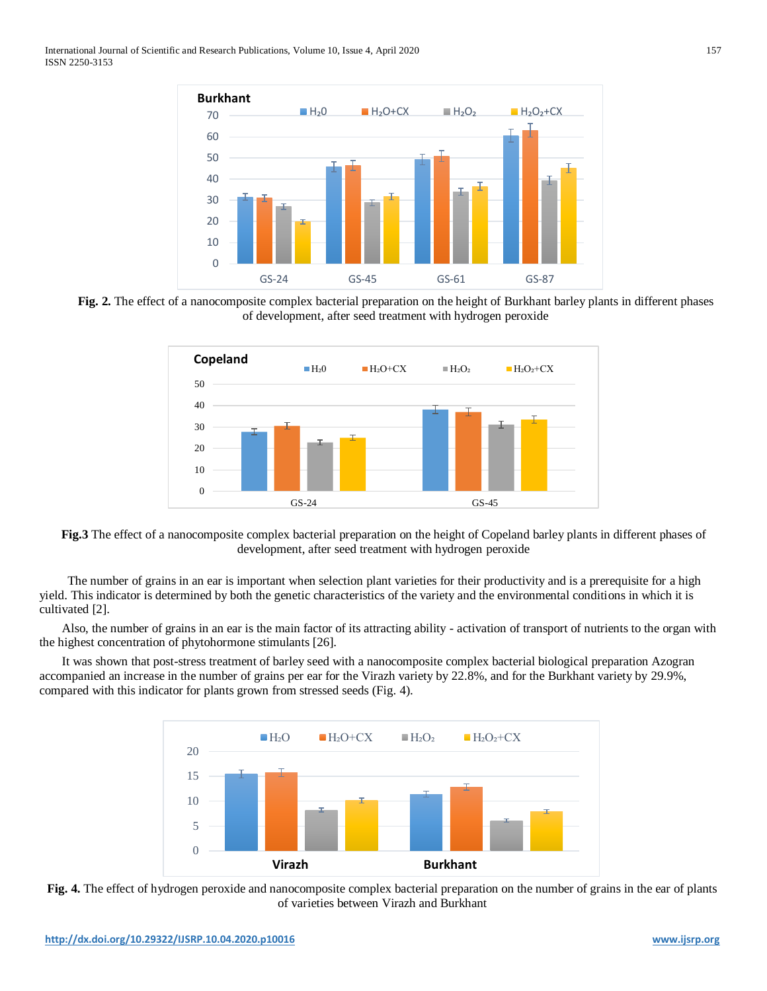

**Fig. 2.** The effect of a nanocomposite complex bacterial preparation on the height of Burkhant barley plants in different phases of development, after seed treatment with hydrogen peroxide



**Fig.3** The effect of a nanocomposite complex bacterial preparation on the height of Copeland barley plants in different phases of development, after seed treatment with hydrogen peroxide

The number of grains in an ear is important when selection plant varieties for their productivity and is a prerequisite for a high yield. This indicator is determined by both the genetic characteristics of the variety and the environmental conditions in which it is cultivated [2].

Also, the number of grains in an ear is the main factor of its attracting ability - activation of transport of nutrients to the organ with the highest concentration of phytohormone stimulants [26].

It was shown that post-stress treatment of barley seed with a nanocomposite complex bacterial biological preparation Azogran accompanied an increase in the number of grains per ear for the Virazh variety by 22.8%, and for the Burkhant variety by 29.9%, compared with this indicator for plants grown from stressed seeds (Fig. 4).



**Fig. 4.** The effect of hydrogen peroxide and nanocomposite complex bacterial preparation on the number of grains in the ear of plants of varieties between Virazh and Burkhant